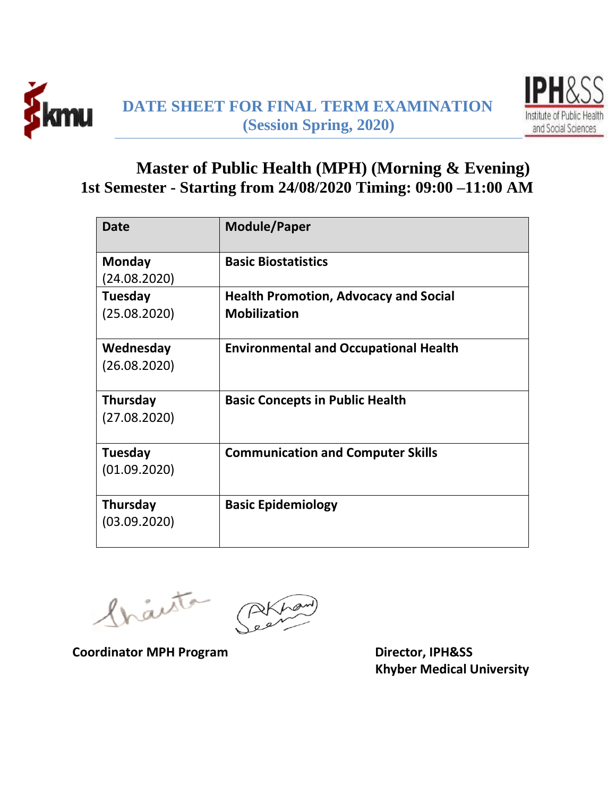



## **Master of Public Health (MPH) (Morning & Evening) 1st Semester - Starting from 24/08/2020 Timing: 09:00 –11:00 AM**

| <b>Date</b>     | <b>Module/Paper</b>                          |
|-----------------|----------------------------------------------|
| Monday          | <b>Basic Biostatistics</b>                   |
| (24.08.2020)    |                                              |
| Tuesday         | <b>Health Promotion, Advocacy and Social</b> |
| (25.08.2020)    | <b>Mobilization</b>                          |
| Wednesday       | <b>Environmental and Occupational Health</b> |
| (26.08.2020)    |                                              |
| Thursday        | <b>Basic Concepts in Public Health</b>       |
| (27.08.2020)    |                                              |
| Tuesday         | <b>Communication and Computer Skills</b>     |
| (01.09.2020)    |                                              |
| <b>Thursday</b> | <b>Basic Epidemiology</b>                    |
| (03.09.2020)    |                                              |

Inacto

**Coordinator MPH Program Director, IPH&SS** 

 **Khyber Medical University**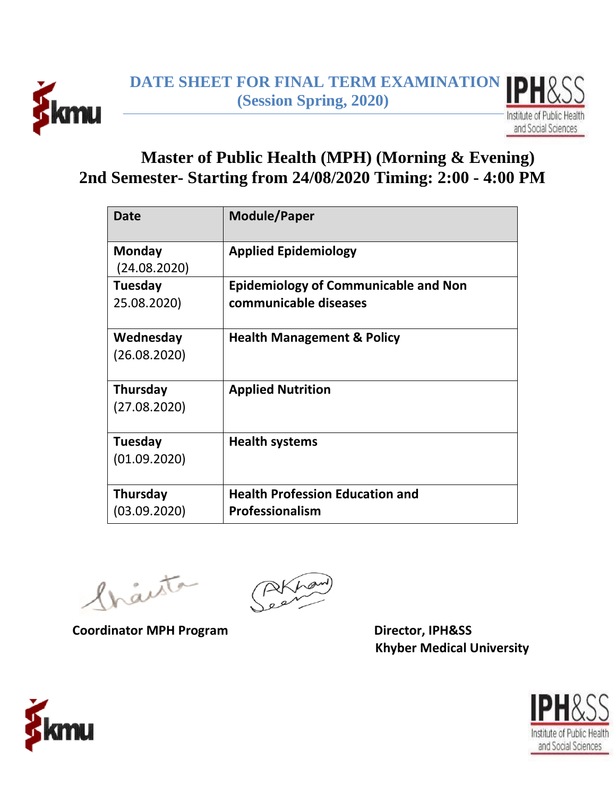



## **Master of Public Health (MPH) (Morning & Evening) 2nd Semester- Starting from 24/08/2020 Timing: 2:00 - 4:00 PM**

| <b>Date</b>                     | <b>Module/Paper</b>                                                  |
|---------------------------------|----------------------------------------------------------------------|
| Monday<br>(24.08.2020)          | <b>Applied Epidemiology</b>                                          |
| Tuesday<br>25.08.2020)          | <b>Epidemiology of Communicable and Non</b><br>communicable diseases |
| Wednesday<br>(26.08.2020)       | <b>Health Management &amp; Policy</b>                                |
| <b>Thursday</b><br>(27.08.2020) | <b>Applied Nutrition</b>                                             |
| Tuesday<br>(01.09.2020)         | <b>Health systems</b>                                                |
| <b>Thursday</b><br>(03.09.2020) | <b>Health Profession Education and</b><br><b>Professionalism</b>     |

fraita

Coordinator MPH Program **Director, IPH&SS** 

 **Khyber Medical University**